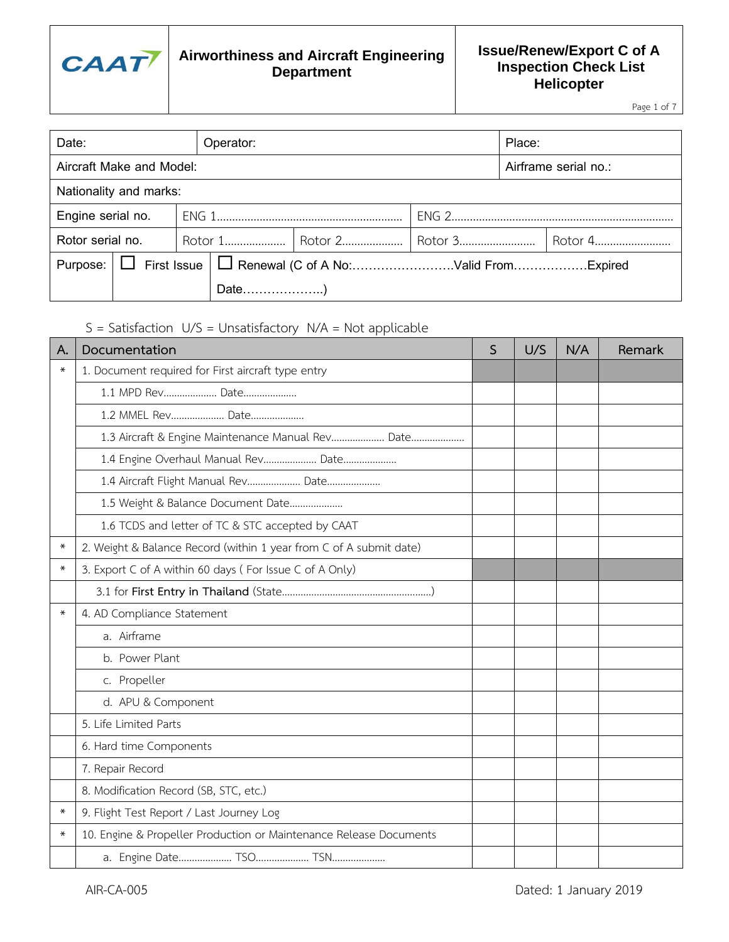

#### **Issue/Renew/Export C of A Inspection Check List Helicopter**

Page 1 of 7

| Date:                                            |  |  | Place:<br>Operator:                                                |  |                                        |  |  |  |
|--------------------------------------------------|--|--|--------------------------------------------------------------------|--|----------------------------------------|--|--|--|
| Aircraft Make and Model:<br>Airframe serial no.: |  |  |                                                                    |  |                                        |  |  |  |
| Nationality and marks:                           |  |  |                                                                    |  |                                        |  |  |  |
| Engine serial no.                                |  |  |                                                                    |  |                                        |  |  |  |
| Rotor serial no.                                 |  |  |                                                                    |  | Rotor 1   Rotor 2   Rotor 3<br>Rotor 4 |  |  |  |
|                                                  |  |  | Purpose:   □ First Issue   □ Renewal (C of A No: Valid FromExpired |  |                                        |  |  |  |
|                                                  |  |  | Date)                                                              |  |                                        |  |  |  |

S = Satisfaction U/S = Unsatisfactory N/A = Not applicable

| Α.     | Documentation                                                      | S | U/S | N/A | Remark |
|--------|--------------------------------------------------------------------|---|-----|-----|--------|
| $\ast$ | 1. Document required for First aircraft type entry                 |   |     |     |        |
|        | 1.1 MPD Rev Date                                                   |   |     |     |        |
|        | 1.2 MMEL Rev Date                                                  |   |     |     |        |
|        | 1.3 Aircraft & Engine Maintenance Manual Rev Date                  |   |     |     |        |
|        | 1.4 Engine Overhaul Manual Rev Date                                |   |     |     |        |
|        | 1.4 Aircraft Flight Manual Rev Date                                |   |     |     |        |
|        | 1.5 Weight & Balance Document Date                                 |   |     |     |        |
|        | 1.6 TCDS and letter of TC & STC accepted by CAAT                   |   |     |     |        |
| $\ast$ | 2. Weight & Balance Record (within 1 year from C of A submit date) |   |     |     |        |
| $\ast$ | 3. Export C of A within 60 days (For Issue C of A Only)            |   |     |     |        |
|        |                                                                    |   |     |     |        |
| $\ast$ | 4. AD Compliance Statement                                         |   |     |     |        |
|        | a. Airframe                                                        |   |     |     |        |
|        | b. Power Plant                                                     |   |     |     |        |
|        | c. Propeller                                                       |   |     |     |        |
|        | d. APU & Component                                                 |   |     |     |        |
|        | 5. Life Limited Parts                                              |   |     |     |        |
|        | 6. Hard time Components                                            |   |     |     |        |
|        | 7. Repair Record                                                   |   |     |     |        |
|        | 8. Modification Record (SB, STC, etc.)                             |   |     |     |        |
| ∗      | 9. Flight Test Report / Last Journey Log                           |   |     |     |        |
| $\ast$ | 10. Engine & Propeller Production or Maintenance Release Documents |   |     |     |        |
|        |                                                                    |   |     |     |        |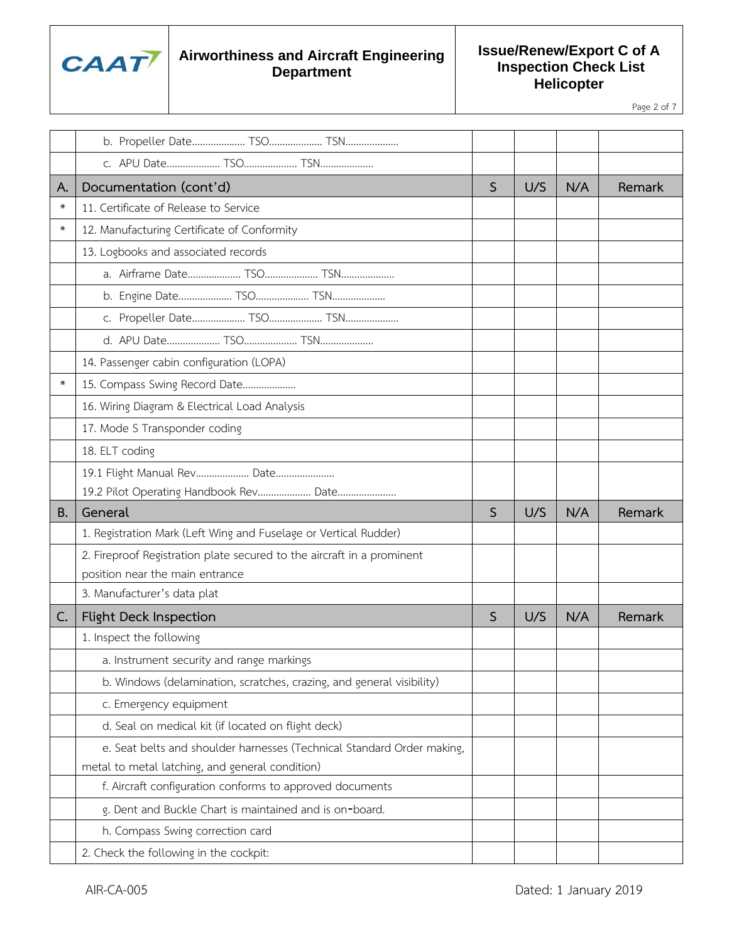

**Issue/Renew/Export C of A Inspection Check List Helicopter**

Page 2 of 7

| А.        | Documentation (cont'd)                                                 | $\mathsf S$  | U/S | N/A | Remark |
|-----------|------------------------------------------------------------------------|--------------|-----|-----|--------|
| ⋇         | 11. Certificate of Release to Service                                  |              |     |     |        |
| $\ast$    | 12. Manufacturing Certificate of Conformity                            |              |     |     |        |
|           | 13. Logbooks and associated records                                    |              |     |     |        |
|           |                                                                        |              |     |     |        |
|           |                                                                        |              |     |     |        |
|           |                                                                        |              |     |     |        |
|           |                                                                        |              |     |     |        |
|           | 14. Passenger cabin configuration (LOPA)                               |              |     |     |        |
|           | 15. Compass Swing Record Date                                          |              |     |     |        |
|           | 16. Wiring Diagram & Electrical Load Analysis                          |              |     |     |        |
|           | 17. Mode S Transponder coding                                          |              |     |     |        |
|           | 18. ELT coding                                                         |              |     |     |        |
|           | 19.1 Flight Manual Rev Date                                            |              |     |     |        |
|           | 19.2 Pilot Operating Handbook Rev Date                                 |              |     |     |        |
|           |                                                                        |              |     |     |        |
| <b>B.</b> | General                                                                | $\mathsf{S}$ | U/S | N/A | Remark |
|           | 1. Registration Mark (Left Wing and Fuselage or Vertical Rudder)       |              |     |     |        |
|           | 2. Fireproof Registration plate secured to the aircraft in a prominent |              |     |     |        |
|           | position near the main entrance                                        |              |     |     |        |
|           | 3. Manufacturer's data plat                                            |              |     |     |        |
| C.        | Flight Deck Inspection                                                 | S            | U/S | N/A | Remark |
|           | 1. Inspect the following                                               |              |     |     |        |
|           | a. Instrument security and range markings                              |              |     |     |        |
|           | b. Windows (delamination, scratches, crazing, and general visibility)  |              |     |     |        |
|           | c. Emergency equipment                                                 |              |     |     |        |
|           | d. Seal on medical kit (if located on flight deck)                     |              |     |     |        |
|           | e. Seat belts and shoulder harnesses (Technical Standard Order making, |              |     |     |        |
|           | metal to metal latching, and general condition)                        |              |     |     |        |
|           | f. Aircraft configuration conforms to approved documents               |              |     |     |        |
|           | g. Dent and Buckle Chart is maintained and is on-board.                |              |     |     |        |
|           | h. Compass Swing correction card                                       |              |     |     |        |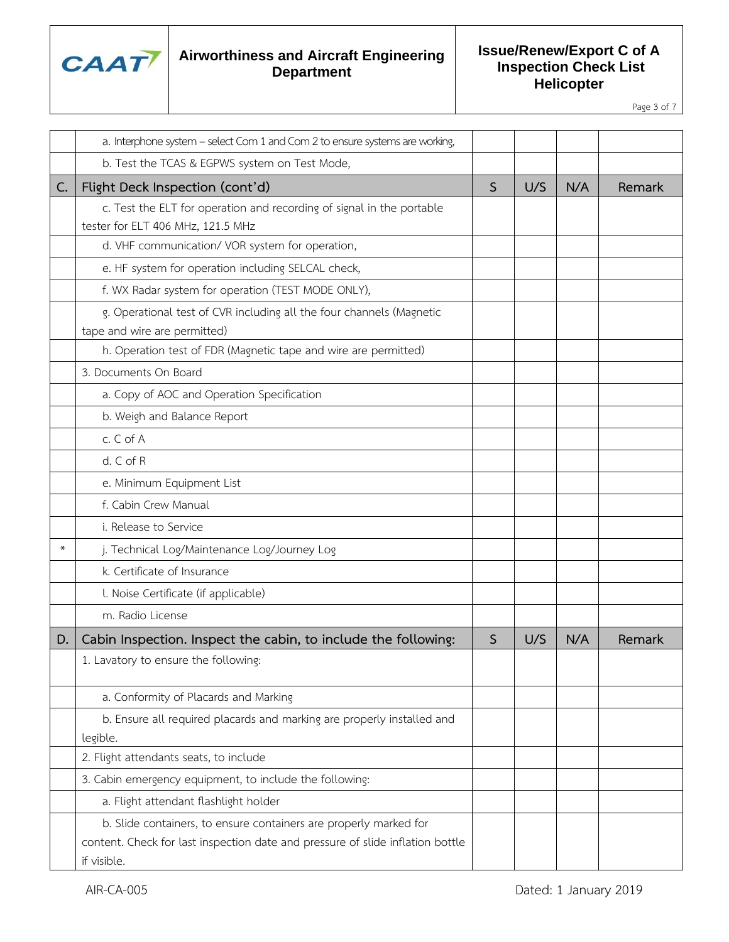

**Issue/Renew/Export C of A Inspection Check List Helicopter**

Page 3 of 7

|        | a. Interphone system - select Com 1 and Com 2 to ensure systems are working,                                                                                       |              |     |     |        |
|--------|--------------------------------------------------------------------------------------------------------------------------------------------------------------------|--------------|-----|-----|--------|
|        | b. Test the TCAS & EGPWS system on Test Mode,                                                                                                                      |              |     |     |        |
| C.     | Flight Deck Inspection (cont'd)                                                                                                                                    | $\mathsf{S}$ | U/S | N/A | Remark |
|        | c. Test the ELT for operation and recording of signal in the portable                                                                                              |              |     |     |        |
|        | tester for ELT 406 MHz, 121.5 MHz                                                                                                                                  |              |     |     |        |
|        | d. VHF communication/ VOR system for operation,                                                                                                                    |              |     |     |        |
|        | e. HF system for operation including SELCAL check,                                                                                                                 |              |     |     |        |
|        | f. WX Radar system for operation (TEST MODE ONLY),                                                                                                                 |              |     |     |        |
|        | g. Operational test of CVR including all the four channels (Magnetic                                                                                               |              |     |     |        |
|        | tape and wire are permitted)                                                                                                                                       |              |     |     |        |
|        | h. Operation test of FDR (Magnetic tape and wire are permitted)                                                                                                    |              |     |     |        |
|        | 3. Documents On Board                                                                                                                                              |              |     |     |        |
|        | a. Copy of AOC and Operation Specification                                                                                                                         |              |     |     |        |
|        | b. Weigh and Balance Report                                                                                                                                        |              |     |     |        |
|        | c. C of A                                                                                                                                                          |              |     |     |        |
|        | d. C of R                                                                                                                                                          |              |     |     |        |
|        | e. Minimum Equipment List                                                                                                                                          |              |     |     |        |
|        | f. Cabin Crew Manual                                                                                                                                               |              |     |     |        |
|        | i. Release to Service                                                                                                                                              |              |     |     |        |
| $\ast$ | j. Technical Log/Maintenance Log/Journey Log                                                                                                                       |              |     |     |        |
|        | k. Certificate of Insurance                                                                                                                                        |              |     |     |        |
|        | l. Noise Certificate (if applicable)                                                                                                                               |              |     |     |        |
|        | m. Radio License                                                                                                                                                   |              |     |     |        |
| D.     | Cabin Inspection. Inspect the cabin, to include the following:                                                                                                     | S            | U/S | N/A | Remark |
|        | 1. Lavatory to ensure the following:                                                                                                                               |              |     |     |        |
|        | a. Conformity of Placards and Marking                                                                                                                              |              |     |     |        |
|        | b. Ensure all required placards and marking are properly installed and                                                                                             |              |     |     |        |
|        | legible.                                                                                                                                                           |              |     |     |        |
|        | 2. Flight attendants seats, to include                                                                                                                             |              |     |     |        |
|        | 3. Cabin emergency equipment, to include the following:                                                                                                            |              |     |     |        |
|        | a. Flight attendant flashlight holder                                                                                                                              |              |     |     |        |
|        | b. Slide containers, to ensure containers are properly marked for<br>content. Check for last inspection date and pressure of slide inflation bottle<br>if visible. |              |     |     |        |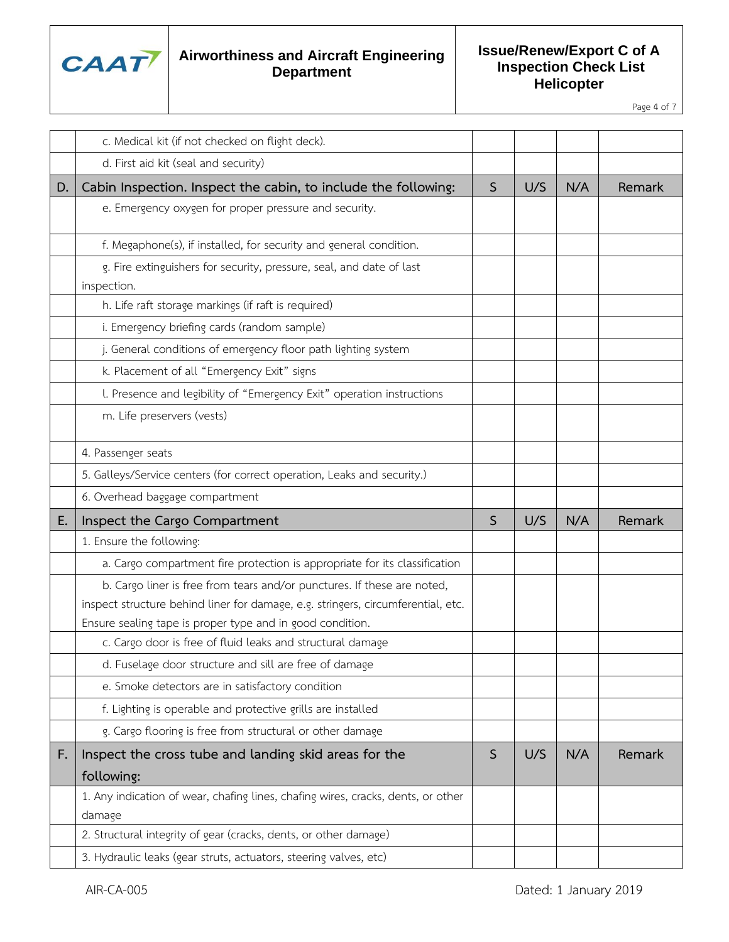

**Issue/Renew/Export C of A Inspection Check List Helicopter**

Page 4 of 7

|    | c. Medical kit (if not checked on flight deck).                                                                                                                                                                          |              |     |     |        |
|----|--------------------------------------------------------------------------------------------------------------------------------------------------------------------------------------------------------------------------|--------------|-----|-----|--------|
|    | d. First aid kit (seal and security)                                                                                                                                                                                     |              |     |     |        |
| D. | Cabin Inspection. Inspect the cabin, to include the following:                                                                                                                                                           | S            | U/S | N/A | Remark |
|    | e. Emergency oxygen for proper pressure and security.                                                                                                                                                                    |              |     |     |        |
|    | f. Megaphone(s), if installed, for security and general condition.                                                                                                                                                       |              |     |     |        |
|    | g. Fire extinguishers for security, pressure, seal, and date of last<br>inspection.                                                                                                                                      |              |     |     |        |
|    | h. Life raft storage markings (if raft is required)                                                                                                                                                                      |              |     |     |        |
|    | i. Emergency briefing cards (random sample)                                                                                                                                                                              |              |     |     |        |
|    | j. General conditions of emergency floor path lighting system                                                                                                                                                            |              |     |     |        |
|    | k. Placement of all "Emergency Exit" signs                                                                                                                                                                               |              |     |     |        |
|    | l. Presence and legibility of "Emergency Exit" operation instructions                                                                                                                                                    |              |     |     |        |
|    | m. Life preservers (vests)                                                                                                                                                                                               |              |     |     |        |
|    | 4. Passenger seats                                                                                                                                                                                                       |              |     |     |        |
|    | 5. Galleys/Service centers (for correct operation, Leaks and security.)                                                                                                                                                  |              |     |     |        |
|    | 6. Overhead baggage compartment                                                                                                                                                                                          |              |     |     |        |
|    |                                                                                                                                                                                                                          |              |     |     |        |
| E. | Inspect the Cargo Compartment                                                                                                                                                                                            | S            | U/S | N/A | Remark |
|    | 1. Ensure the following:                                                                                                                                                                                                 |              |     |     |        |
|    | a. Cargo compartment fire protection is appropriate for its classification                                                                                                                                               |              |     |     |        |
|    | b. Cargo liner is free from tears and/or punctures. If these are noted,<br>inspect structure behind liner for damage, e.g. stringers, circumferential, etc.<br>Ensure sealing tape is proper type and in good condition. |              |     |     |        |
|    | c. Cargo door is free of fluid leaks and structural damage                                                                                                                                                               |              |     |     |        |
|    | d. Fuselage door structure and sill are free of damage                                                                                                                                                                   |              |     |     |        |
|    | e. Smoke detectors are in satisfactory condition                                                                                                                                                                         |              |     |     |        |
|    | f. Lighting is operable and protective grills are installed                                                                                                                                                              |              |     |     |        |
|    | g. Cargo flooring is free from structural or other damage                                                                                                                                                                |              |     |     |        |
| F. | Inspect the cross tube and landing skid areas for the                                                                                                                                                                    | $\mathsf{S}$ | U/S | N/A | Remark |
|    | following:                                                                                                                                                                                                               |              |     |     |        |
|    | 1. Any indication of wear, chafing lines, chafing wires, cracks, dents, or other<br>damage                                                                                                                               |              |     |     |        |
|    | 2. Structural integrity of gear (cracks, dents, or other damage)                                                                                                                                                         |              |     |     |        |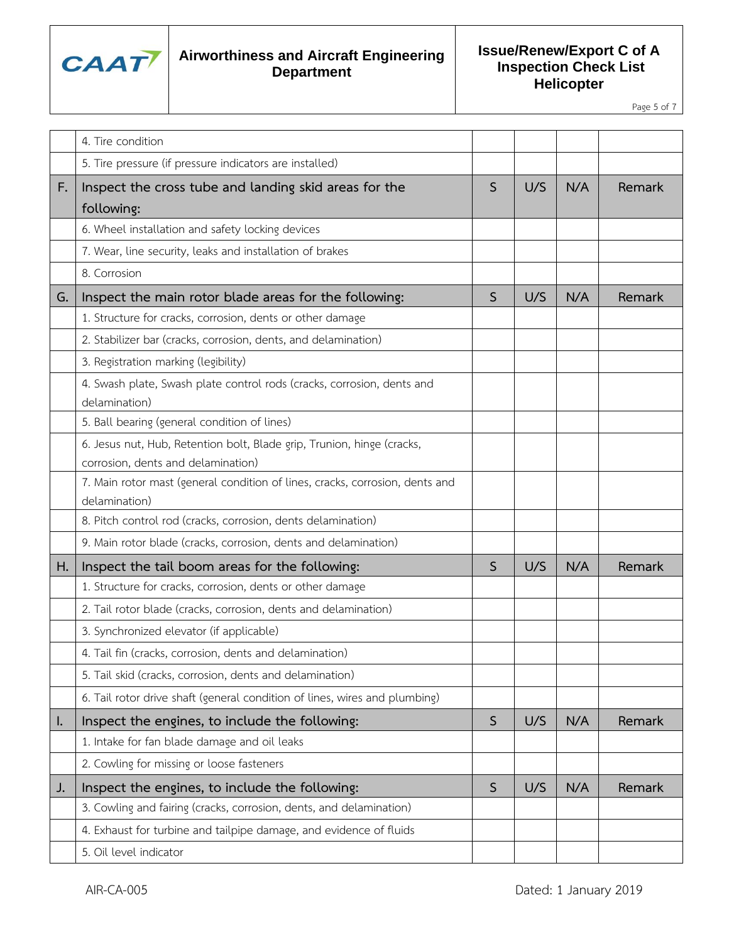

**Issue/Renew/Export C of A Inspection Check List Helicopter**

Page 5 of 7

|    | 4. Tire condition                                                                                            |              |     |     |        |
|----|--------------------------------------------------------------------------------------------------------------|--------------|-----|-----|--------|
|    | 5. Tire pressure (if pressure indicators are installed)                                                      |              |     |     |        |
| F. | Inspect the cross tube and landing skid areas for the<br>following:                                          | S.           | U/S | N/A | Remark |
|    | 6. Wheel installation and safety locking devices                                                             |              |     |     |        |
|    | 7. Wear, line security, leaks and installation of brakes                                                     |              |     |     |        |
|    | 8. Corrosion                                                                                                 |              |     |     |        |
| G. | Inspect the main rotor blade areas for the following:                                                        | S            | U/S | N/A | Remark |
|    | 1. Structure for cracks, corrosion, dents or other damage                                                    |              |     |     |        |
|    | 2. Stabilizer bar (cracks, corrosion, dents, and delamination)                                               |              |     |     |        |
|    | 3. Registration marking (legibility)                                                                         |              |     |     |        |
|    | 4. Swash plate, Swash plate control rods (cracks, corrosion, dents and<br>delamination)                      |              |     |     |        |
|    | 5. Ball bearing (general condition of lines)                                                                 |              |     |     |        |
|    | 6. Jesus nut, Hub, Retention bolt, Blade grip, Trunion, hinge (cracks,<br>corrosion, dents and delamination) |              |     |     |        |
|    | 7. Main rotor mast (general condition of lines, cracks, corrosion, dents and<br>delamination)                |              |     |     |        |
|    | 8. Pitch control rod (cracks, corrosion, dents delamination)                                                 |              |     |     |        |
|    | 9. Main rotor blade (cracks, corrosion, dents and delamination)                                              |              |     |     |        |
| Η. | Inspect the tail boom areas for the following:                                                               | S            | U/S | N/A | Remark |
|    | 1. Structure for cracks, corrosion, dents or other damage                                                    |              |     |     |        |
|    | 2. Tail rotor blade (cracks, corrosion, dents and delamination)                                              |              |     |     |        |
|    | 3. Synchronized elevator (if applicable)                                                                     |              |     |     |        |
|    | 4. Tail fin (cracks, corrosion, dents and delamination)                                                      |              |     |     |        |
|    | 5. Tail skid (cracks, corrosion, dents and delamination)                                                     |              |     |     |        |
|    | 6. Tail rotor drive shaft (general condition of lines, wires and plumbing)                                   |              |     |     |        |
| I. | Inspect the engines, to include the following:                                                               | $\mathsf{S}$ | U/S | N/A | Remark |
|    | 1. Intake for fan blade damage and oil leaks                                                                 |              |     |     |        |
|    | 2. Cowling for missing or loose fasteners                                                                    |              |     |     |        |
| J. | Inspect the engines, to include the following:                                                               | $\mathsf S$  | U/S | N/A | Remark |
|    | 3. Cowling and fairing (cracks, corrosion, dents, and delamination)                                          |              |     |     |        |
|    | 4. Exhaust for turbine and tailpipe damage, and evidence of fluids                                           |              |     |     |        |
|    | 5. Oil level indicator                                                                                       |              |     |     |        |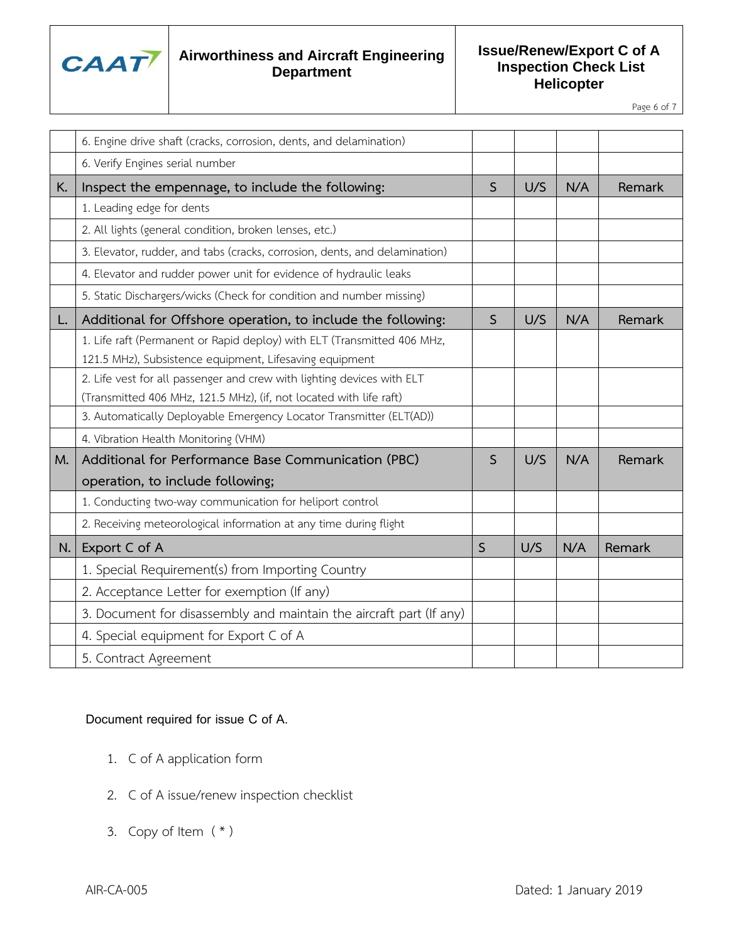

**Issue/Renew/Export C of A Inspection Check List Helicopter**

Page 6 of 7

|    | 6. Engine drive shaft (cracks, corrosion, dents, and delamination)                                                                |              |     |     |        |
|----|-----------------------------------------------------------------------------------------------------------------------------------|--------------|-----|-----|--------|
|    | 6. Verify Engines serial number                                                                                                   |              |     |     |        |
| K. | Inspect the empennage, to include the following:                                                                                  | $\mathsf S$  | U/S | N/A | Remark |
|    | 1. Leading edge for dents                                                                                                         |              |     |     |        |
|    | 2. All lights (general condition, broken lenses, etc.)                                                                            |              |     |     |        |
|    | 3. Elevator, rudder, and tabs (cracks, corrosion, dents, and delamination)                                                        |              |     |     |        |
|    | 4. Elevator and rudder power unit for evidence of hydraulic leaks                                                                 |              |     |     |        |
|    | 5. Static Dischargers/wicks (Check for condition and number missing)                                                              |              |     |     |        |
| L. | Additional for Offshore operation, to include the following:                                                                      | $\mathsf{S}$ | U/S | N/A | Remark |
|    | 1. Life raft (Permanent or Rapid deploy) with ELT (Transmitted 406 MHz,                                                           |              |     |     |        |
|    | 121.5 MHz), Subsistence equipment, Lifesaving equipment<br>2. Life vest for all passenger and crew with lighting devices with ELT |              |     |     |        |
|    | (Transmitted 406 MHz, 121.5 MHz), (if, not located with life raft)                                                                |              |     |     |        |
|    | 3. Automatically Deployable Emergency Locator Transmitter (ELT(AD))                                                               |              |     |     |        |
|    | 4. Vibration Health Monitoring (VHM)                                                                                              |              |     |     |        |
| M. | Additional for Performance Base Communication (PBC)                                                                               | $\mathsf{S}$ | U/S | N/A | Remark |
|    | operation, to include following;                                                                                                  |              |     |     |        |
|    | 1. Conducting two-way communication for heliport control                                                                          |              |     |     |        |
|    | 2. Receiving meteorological information at any time during flight                                                                 |              |     |     |        |
| N. | Export C of A                                                                                                                     | $\mathsf{S}$ | U/S | N/A | Remark |
|    | 1. Special Requirement(s) from Importing Country                                                                                  |              |     |     |        |
|    | 2. Acceptance Letter for exemption (If any)                                                                                       |              |     |     |        |
|    | 3. Document for disassembly and maintain the aircraft part (If any)                                                               |              |     |     |        |
|    | 4. Special equipment for Export C of A                                                                                            |              |     |     |        |
|    | 5. Contract Agreement                                                                                                             |              |     |     |        |

#### Document required for issue C of A.

- 1. C of A application form
- 2. C of A issue/renew inspection checklist
- 3. Copy of Item  $(* )$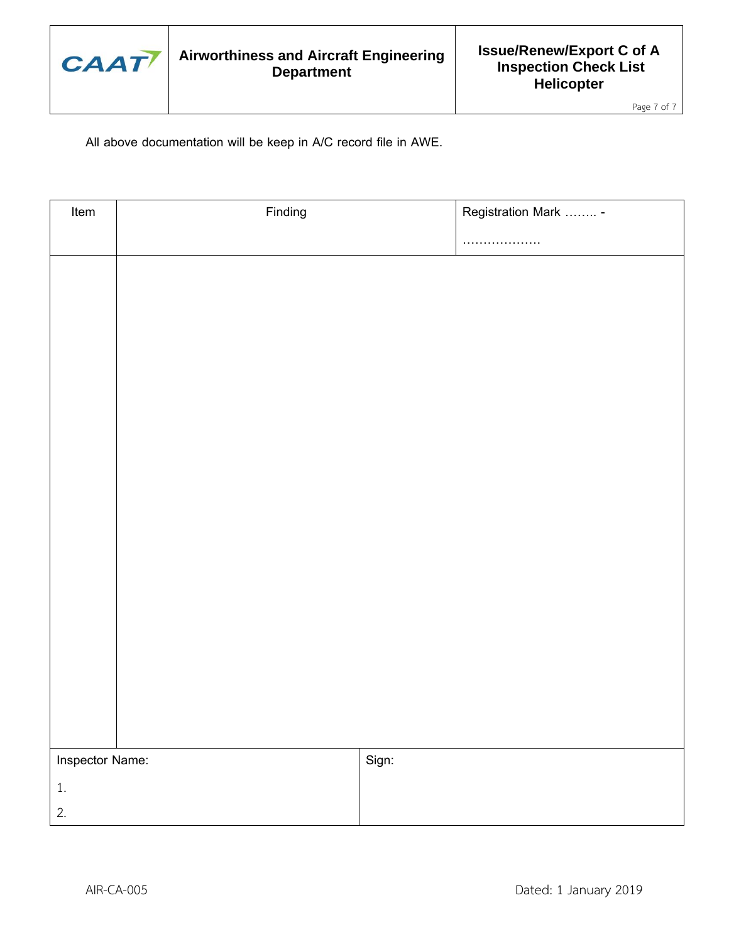

Page 7 of 7

All above documentation will be keep in A/C record file in AWE.

| Item            | Finding |       | Registration Mark  - |
|-----------------|---------|-------|----------------------|
|                 |         |       | .                    |
|                 |         |       |                      |
|                 |         |       |                      |
|                 |         |       |                      |
|                 |         |       |                      |
|                 |         |       |                      |
|                 |         |       |                      |
|                 |         |       |                      |
|                 |         |       |                      |
|                 |         |       |                      |
|                 |         |       |                      |
|                 |         |       |                      |
|                 |         |       |                      |
|                 |         |       |                      |
|                 |         |       |                      |
|                 |         |       |                      |
|                 |         |       |                      |
|                 |         |       |                      |
|                 |         |       |                      |
| Inspector Name: |         | Sign: |                      |
| $1.$            |         |       |                      |
| 2.              |         |       |                      |